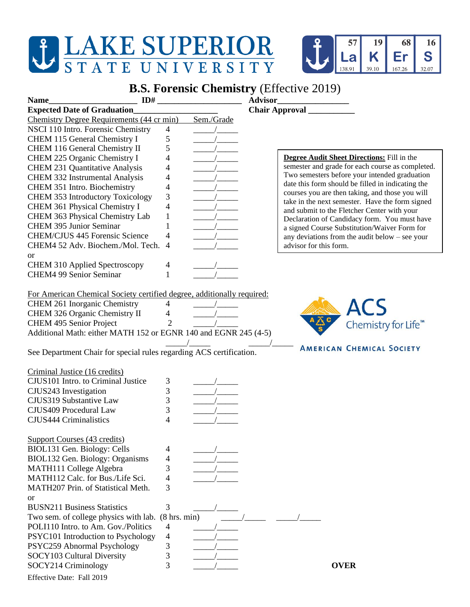## J LAKE SUPERIOR STATE UNIVERSITY



## **B.S. Forensic Chemistry** (Effective 2019)

| ID#<br><b>Name</b>                                                     |                          |            | <b>Advisor</b>                                                                                   |
|------------------------------------------------------------------------|--------------------------|------------|--------------------------------------------------------------------------------------------------|
| <b>Expected Date of Graduation</b>                                     |                          |            |                                                                                                  |
| Chemistry Degree Requirements (44 cr min)                              |                          | Sem./Grade |                                                                                                  |
| NSCI 110 Intro. Forensic Chemistry                                     | $\overline{4}$           |            |                                                                                                  |
| CHEM 115 General Chemistry I                                           | 5                        |            |                                                                                                  |
| CHEM 116 General Chemistry II                                          | 5                        |            |                                                                                                  |
| CHEM 225 Organic Chemistry I                                           | 4                        |            | <b>Degree Audit Sheet Directions:</b> Fill in the                                                |
| <b>CHEM 231 Quantitative Analysis</b>                                  | 4                        |            | semester and grade for each course as completed.                                                 |
| CHEM 332 Instrumental Analysis                                         | $\overline{\mathcal{L}}$ |            | Two semesters before your intended graduation                                                    |
| CHEM 351 Intro. Biochemistry                                           | $\overline{\mathcal{L}}$ |            | date this form should be filled in indicating the                                                |
| <b>CHEM 353 Introductory Toxicology</b>                                | 3                        |            | courses you are then taking, and those you will                                                  |
| CHEM 361 Physical Chemistry I                                          | $\overline{\mathcal{L}}$ |            | take in the next semester. Have the form signed                                                  |
| CHEM 363 Physical Chemistry Lab                                        | $\mathbf{1}$             |            | and submit to the Fletcher Center with your                                                      |
| <b>CHEM 395 Junior Seminar</b>                                         | $\mathbf{1}$             |            | Declaration of Candidacy form. You must have                                                     |
| <b>CHEM/CJUS 445 Forensic Science</b>                                  | 4                        |            | a signed Course Substitution/Waiver Form for<br>any deviations from the audit below $-$ see your |
| CHEM4 52 Adv. Biochem./Mol. Tech.                                      | $\overline{4}$           |            | advisor for this form.                                                                           |
| <b>or</b>                                                              |                          |            |                                                                                                  |
| <b>CHEM 310 Applied Spectroscopy</b>                                   | 4                        |            |                                                                                                  |
| <b>CHEM4 99 Senior Seminar</b>                                         | 1                        |            |                                                                                                  |
|                                                                        |                          |            |                                                                                                  |
|                                                                        |                          |            |                                                                                                  |
| For American Chemical Society certified degree, additionally required: |                          |            |                                                                                                  |
| CHEM 261 Inorganic Chemistry                                           | 4                        |            | ACS                                                                                              |
| CHEM 326 Organic Chemistry II                                          | 4                        |            |                                                                                                  |
| CHEM 495 Senior Project                                                | 2                        |            | Chemistry for Life <sup>™</sup>                                                                  |
| Additional Math: either MATH 152 or EGNR 140 and EGNR 245 (4-5)        |                          |            |                                                                                                  |
|                                                                        |                          |            | <b>AMERICAN CHEMICAL SOCIETY</b>                                                                 |
| See Department Chair for special rules regarding ACS certification.    |                          |            |                                                                                                  |
|                                                                        |                          |            |                                                                                                  |
| Criminal Justice (16 credits)<br>CJUS101 Intro. to Criminal Justice    |                          |            |                                                                                                  |
|                                                                        | 3<br>3                   |            |                                                                                                  |
| CJUS243 Investigation                                                  |                          |            |                                                                                                  |
| CJUS319 Substantive Law                                                | 3                        |            |                                                                                                  |
| CJUS409 Procedural Law                                                 | 3                        |            |                                                                                                  |
| <b>CJUS444 Criminalistics</b>                                          | 4                        |            |                                                                                                  |
|                                                                        |                          |            |                                                                                                  |
| <b>Support Courses (43 credits)</b>                                    |                          |            |                                                                                                  |
| BIOL131 Gen. Biology: Cells                                            | 4                        |            |                                                                                                  |
| BIOL132 Gen. Biology: Organisms                                        | 4                        |            |                                                                                                  |
| MATH111 College Algebra                                                | 3                        |            |                                                                                                  |
| MATH112 Calc. for Bus./Life Sci.                                       | 4                        |            |                                                                                                  |
| MATH207 Prin. of Statistical Meth.                                     | 3                        |            |                                                                                                  |
| <sub>or</sub>                                                          |                          |            |                                                                                                  |
| <b>BUSN211 Business Statistics</b>                                     | 3                        |            |                                                                                                  |
| Two sem. of college physics with lab.                                  | $(8 \text{ hrs. min})$   |            |                                                                                                  |
| POLI110 Intro. to Am. Gov./Politics                                    | 4                        |            |                                                                                                  |
| PSYC101 Introduction to Psychology                                     | 4                        |            |                                                                                                  |
| PSYC259 Abnormal Psychology                                            | 3                        |            |                                                                                                  |
| SOCY103 Cultural Diversity                                             | 3                        |            |                                                                                                  |
| SOCY214 Criminology                                                    | 3                        |            | <b>OVER</b>                                                                                      |
| Effective Date: Fall 2019                                              |                          |            |                                                                                                  |